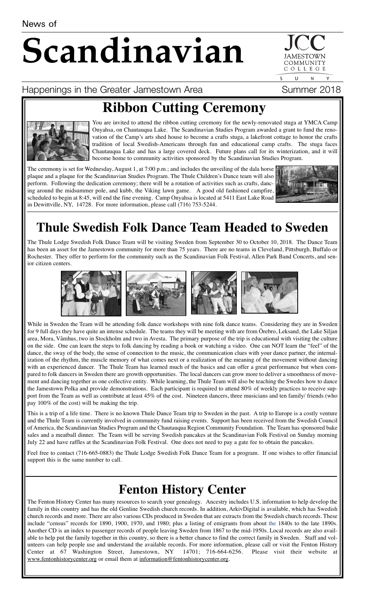# **Scandinavian**

COMMUNITY COLLEGE  $\cup$  $N$ 

#### Happenings in the Greater Jamestown Area Theodores Summer 2018

## **Ribbon Cutting Ceremony**



You are invited to attend the ribbon cutting ceremony for the newly-renovated stuga at YMCA Camp Onyahsa, on Chautauqua Lake. The Scandinavian Studies Program awarded a grant to fund the renovation of the Camp's arts shed house to become a crafts stuga, a lakefront cottage to honor the crafts tradition of local Swedish-Americans through fun and educational camp crafts. The stuga faces Chautauqua Lake and has a large covered deck. Future plans call for its winterization, and it will become home to community activities sponsored by the Scandinavian Studies Program.

The ceremony is set for Wednesday, August 1, at 7:00 p.m.; and includes the unveiling of the dala horse plaque and a plaque for the Scandinavian Studies Program. The Thule Children's Dance team will also perform. Following the dedication ceremony; there will be a rotation of activities such as crafts, dancing around the midsummer pole, and kubb, the Viking lawn game. A good old fashioned campfire, scheduled to begin at 8:45, will end the fine evening. Camp Onyahsa is located at 5411 East Lake Road in Dewittville, NY, 14728. For more information, please call (716) 753-5244.



### **Thule Swedish Folk Dance Team Headed to Sweden**

The Thule Lodge Swedish Folk Dance Team will be visiting Sweden from September 30 to October 10, 2018. The Dance Team has been an asset for the Jamestown community for more than 75 years. There are no teams in Cleveland, Pittsburgh, Buffalo or Rochester. They offer to perform for the community such as the Scandinavian Folk Festival, Allen Park Band Concerts, and senior citizen centers.



While in Sweden the Team will be attending folk dance workshops with nine folk dance teams. Considering they are in Sweden for 9 full days they have quite an intense schedule. The teams they will be meeting with are from Örebro, Leksand, the Lake Siljan area, Mora, Våmhus, two in Stockholm and two in Avesta. The primary purpose of the trip is educational with visiting the culture on the side. One can learn the steps to folk dancing by reading a book or watching a video. One can NOT learn the "feel" of the dance, the sway of the body, the sense of connection to the music, the communication clues with your dance partner, the internalization of the rhythm, the muscle memory of what comes next or a realization of the meaning of the movement without dancing with an experienced dancer. The Thule Team has learned much of the basics and can offer a great performance but when compared to folk dancers in Sweden there are growth opportunities. The local dancers can grow more to deliver a smoothness of movement and dancing together as one collective entity. While learning, the Thule Team will also be teaching the Swedes how to dance the Jamestown Polka and provide demonstrations. Each participant is required to attend 80% of weekly practices to receive support from the Team as well as contribute at least 45% of the cost. Nineteen dancers, three musicians and ten family/ friends (who pay 100% of the cost) will be making the trip.

This is a trip of a life time. There is no known Thule Dance Team trip to Sweden in the past. A trip to Europe is a costly venture and the Thule Team is currently involved in community fund raising events. Support has been received from the Swedish Council of America, the Scandinavian Studies Program and the Chautauqua Region Community Foundation. The Team has sponsored bake sales and a meatball dinner. The Team will be serving Swedish pancakes at the Scandinavian Folk Festival on Sunday morning July 22 and have raffles at the Scandinavian Folk Festival. One does not need to pay a gate fee to obtain the pancakes.

Feel free to contact (716-665-0883) the Thule Lodge Swedish Folk Dance Team for a program. If one wishes to offer financial support this is the same number to call.

#### **Fenton History Center**

The Fenton History Center has many resources to search your genealogy. Ancestry includes U.S. information to help develop the family in this country and has the old Genline Swedish church records. In addition, ArkivDigital is available, which has Swedish church records and more. There are also various CDs produced in Sweden that are extracts from the Swedish church records. These include "census" records for 1890, 1900, 1970, and 1980; plus a listing of emigrants from about the 1840s to the late 1890s. Another CD is an index to passenger records of people leaving Sweden from 1867 to the mid-1950s. Local records are also available to help put the family together in this country, so there is a better chance to find the correct family in Sweden. Staff and volunteers can help people use and understand the available records. For more information, please call or visit the Fenton History Center at 67 Washington Street, Jamestown, NY 14701; 716-664-6256. Please visit their website at www.fentonhistorycenter.org or email them at information@fentonhistorycenter.org.